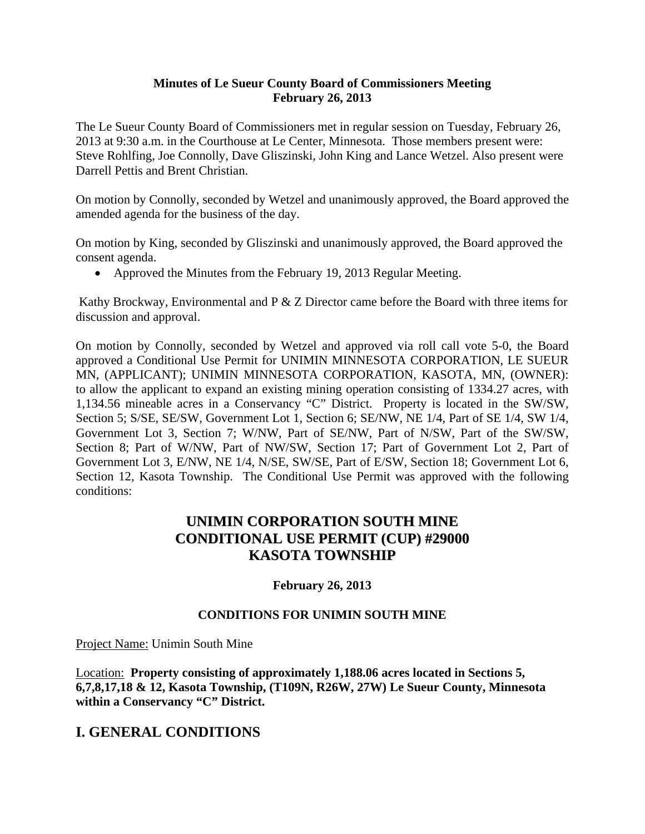#### **Minutes of Le Sueur County Board of Commissioners Meeting February 26, 2013**

The Le Sueur County Board of Commissioners met in regular session on Tuesday, February 26, 2013 at 9:30 a.m. in the Courthouse at Le Center, Minnesota. Those members present were: Steve Rohlfing, Joe Connolly, Dave Gliszinski, John King and Lance Wetzel. Also present were Darrell Pettis and Brent Christian.

On motion by Connolly, seconded by Wetzel and unanimously approved, the Board approved the amended agenda for the business of the day.

On motion by King, seconded by Gliszinski and unanimously approved, the Board approved the consent agenda.

• Approved the Minutes from the February 19, 2013 Regular Meeting.

 Kathy Brockway, Environmental and P & Z Director came before the Board with three items for discussion and approval.

On motion by Connolly, seconded by Wetzel and approved via roll call vote 5-0, the Board approved a Conditional Use Permit for UNIMIN MINNESOTA CORPORATION, LE SUEUR MN, (APPLICANT); UNIMIN MINNESOTA CORPORATION, KASOTA, MN, (OWNER): to allow the applicant to expand an existing mining operation consisting of 1334.27 acres, with 1,134.56 mineable acres in a Conservancy "C" District. Property is located in the SW/SW, Section 5; S/SE, SE/SW, Government Lot 1, Section 6; SE/NW, NE 1/4, Part of SE 1/4, SW 1/4, Government Lot 3, Section 7; W/NW, Part of SE/NW, Part of N/SW, Part of the SW/SW, Section 8; Part of W/NW, Part of NW/SW, Section 17; Part of Government Lot 2, Part of Government Lot 3, E/NW, NE 1/4, N/SE, SW/SE, Part of E/SW, Section 18; Government Lot 6, Section 12, Kasota Township. The Conditional Use Permit was approved with the following conditions:

## **UNIMIN CORPORATION SOUTH MINE CONDITIONAL USE PERMIT (CUP) #29000 KASOTA TOWNSHIP**

#### **February 26, 2013**

#### **CONDITIONS FOR UNIMIN SOUTH MINE**

Project Name: Unimin South Mine

Location: **Property consisting of approximately 1,188.06 acres located in Sections 5, 6,7,8,17,18 & 12, Kasota Township, (T109N, R26W, 27W) Le Sueur County, Minnesota within a Conservancy "C" District.** 

## **I. GENERAL CONDITIONS**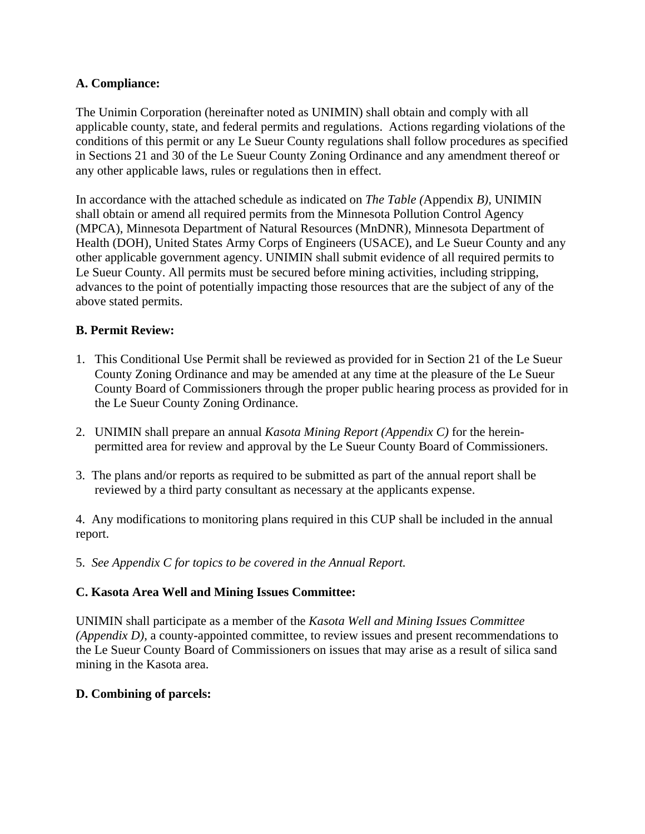#### **A. Compliance:**

The Unimin Corporation (hereinafter noted as UNIMIN) shall obtain and comply with all applicable county, state, and federal permits and regulations. Actions regarding violations of the conditions of this permit or any Le Sueur County regulations shall follow procedures as specified in Sections 21 and 30 of the Le Sueur County Zoning Ordinance and any amendment thereof or any other applicable laws, rules or regulations then in effect.

In accordance with the attached schedule as indicated on *The Table (*Appendix *B),* UNIMIN shall obtain or amend all required permits from the Minnesota Pollution Control Agency (MPCA), Minnesota Department of Natural Resources (MnDNR), Minnesota Department of Health (DOH), United States Army Corps of Engineers (USACE), and Le Sueur County and any other applicable government agency. UNIMIN shall submit evidence of all required permits to Le Sueur County. All permits must be secured before mining activities, including stripping, advances to the point of potentially impacting those resources that are the subject of any of the above stated permits.

#### **B. Permit Review:**

- 1. This Conditional Use Permit shall be reviewed as provided for in Section 21 of the Le Sueur County Zoning Ordinance and may be amended at any time at the pleasure of the Le Sueur County Board of Commissioners through the proper public hearing process as provided for in the Le Sueur County Zoning Ordinance.
- 2. UNIMIN shall prepare an annual *Kasota Mining Report (Appendix C)* for the hereinpermitted area for review and approval by the Le Sueur County Board of Commissioners.
- 3. The plans and/or reports as required to be submitted as part of the annual report shall be reviewed by a third party consultant as necessary at the applicants expense.

4. Any modifications to monitoring plans required in this CUP shall be included in the annual report.

5. *See Appendix C for topics to be covered in the Annual Report.* 

#### **C. Kasota Area Well and Mining Issues Committee:**

UNIMIN shall participate as a member of the *Kasota Well and Mining Issues Committee (Appendix D),* a county-appointed committee, to review issues and present recommendations to the Le Sueur County Board of Commissioners on issues that may arise as a result of silica sand mining in the Kasota area.

#### **D. Combining of parcels:**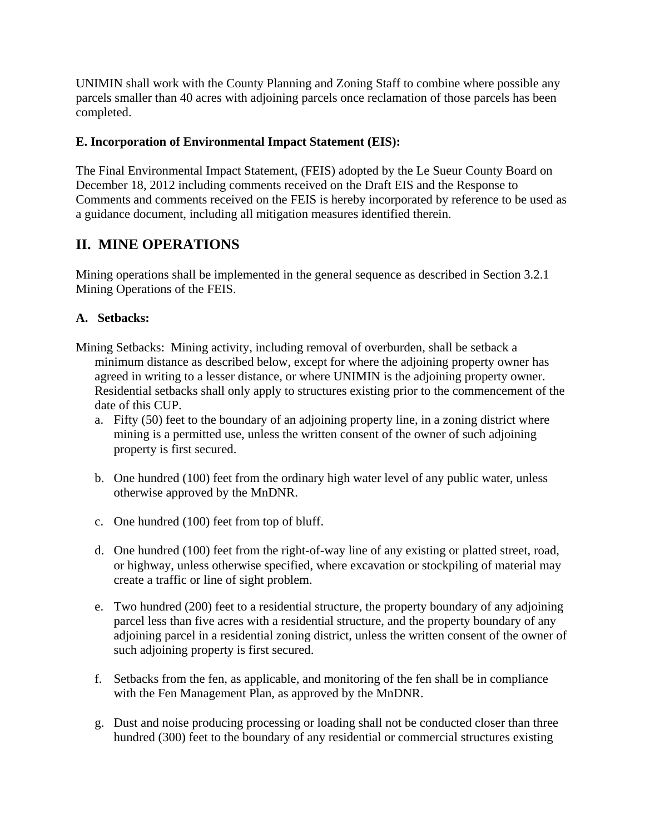UNIMIN shall work with the County Planning and Zoning Staff to combine where possible any parcels smaller than 40 acres with adjoining parcels once reclamation of those parcels has been completed.

### **E. Incorporation of Environmental Impact Statement (EIS):**

The Final Environmental Impact Statement, (FEIS) adopted by the Le Sueur County Board on December 18, 2012 including comments received on the Draft EIS and the Response to Comments and comments received on the FEIS is hereby incorporated by reference to be used as a guidance document, including all mitigation measures identified therein.

# **II. MINE OPERATIONS**

Mining operations shall be implemented in the general sequence as described in Section 3.2.1 Mining Operations of the FEIS.

## **A. Setbacks:**

- Mining Setbacks: Mining activity, including removal of overburden, shall be setback a minimum distance as described below, except for where the adjoining property owner has agreed in writing to a lesser distance, or where UNIMIN is the adjoining property owner. Residential setbacks shall only apply to structures existing prior to the commencement of the date of this CUP.
	- a. Fifty (50) feet to the boundary of an adjoining property line, in a zoning district where mining is a permitted use, unless the written consent of the owner of such adjoining property is first secured.
	- b. One hundred (100) feet from the ordinary high water level of any public water, unless otherwise approved by the MnDNR.
	- c. One hundred (100) feet from top of bluff.
	- d. One hundred (100) feet from the right-of-way line of any existing or platted street, road, or highway, unless otherwise specified, where excavation or stockpiling of material may create a traffic or line of sight problem.
	- e. Two hundred (200) feet to a residential structure, the property boundary of any adjoining parcel less than five acres with a residential structure, and the property boundary of any adjoining parcel in a residential zoning district, unless the written consent of the owner of such adjoining property is first secured.
	- f. Setbacks from the fen, as applicable, and monitoring of the fen shall be in compliance with the Fen Management Plan, as approved by the MnDNR.
	- g. Dust and noise producing processing or loading shall not be conducted closer than three hundred (300) feet to the boundary of any residential or commercial structures existing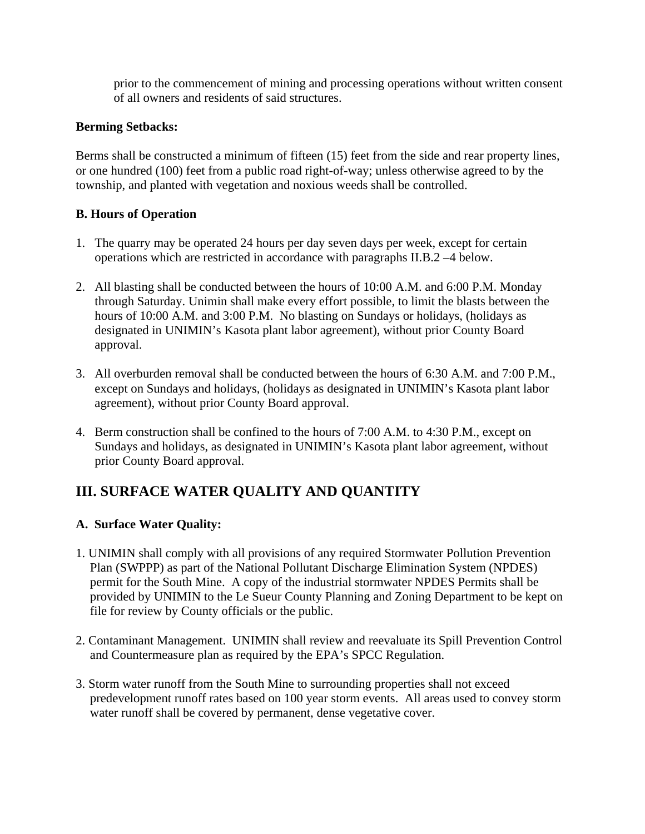prior to the commencement of mining and processing operations without written consent of all owners and residents of said structures.

#### **Berming Setbacks:**

Berms shall be constructed a minimum of fifteen (15) feet from the side and rear property lines, or one hundred (100) feet from a public road right-of-way; unless otherwise agreed to by the township, and planted with vegetation and noxious weeds shall be controlled.

## **B. Hours of Operation**

- 1. The quarry may be operated 24 hours per day seven days per week, except for certain operations which are restricted in accordance with paragraphs II.B.2 –4 below.
- 2. All blasting shall be conducted between the hours of 10:00 A.M. and 6:00 P.M. Monday through Saturday. Unimin shall make every effort possible, to limit the blasts between the hours of 10:00 A.M. and 3:00 P.M. No blasting on Sundays or holidays, (holidays as designated in UNIMIN's Kasota plant labor agreement), without prior County Board approval.
- 3. All overburden removal shall be conducted between the hours of 6:30 A.M. and 7:00 P.M., except on Sundays and holidays, (holidays as designated in UNIMIN's Kasota plant labor agreement), without prior County Board approval.
- 4. Berm construction shall be confined to the hours of 7:00 A.M. to 4:30 P.M., except on Sundays and holidays, as designated in UNIMIN's Kasota plant labor agreement, without prior County Board approval.

# **III. SURFACE WATER QUALITY AND QUANTITY**

## **A. Surface Water Quality:**

- 1. UNIMIN shall comply with all provisions of any required Stormwater Pollution Prevention Plan (SWPPP) as part of the National Pollutant Discharge Elimination System (NPDES) permit for the South Mine. A copy of the industrial stormwater NPDES Permits shall be provided by UNIMIN to the Le Sueur County Planning and Zoning Department to be kept on file for review by County officials or the public.
- 2. Contaminant Management. UNIMIN shall review and reevaluate its Spill Prevention Control and Countermeasure plan as required by the EPA's SPCC Regulation.
- 3. Storm water runoff from the South Mine to surrounding properties shall not exceed predevelopment runoff rates based on 100 year storm events. All areas used to convey storm water runoff shall be covered by permanent, dense vegetative cover.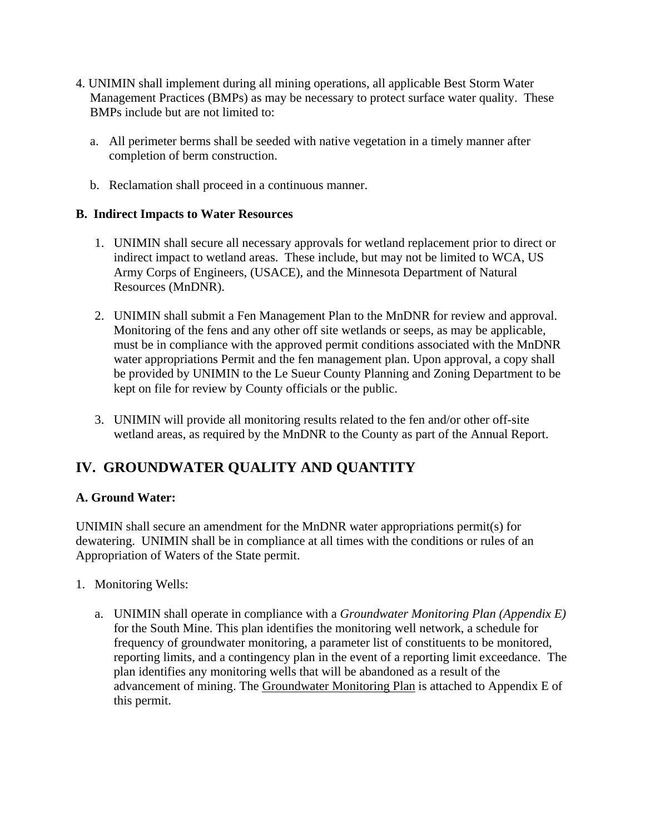- 4. UNIMIN shall implement during all mining operations, all applicable Best Storm Water Management Practices (BMPs) as may be necessary to protect surface water quality. These BMPs include but are not limited to:
	- a. All perimeter berms shall be seeded with native vegetation in a timely manner after completion of berm construction.
	- b. Reclamation shall proceed in a continuous manner.

## **B. Indirect Impacts to Water Resources**

- 1. UNIMIN shall secure all necessary approvals for wetland replacement prior to direct or indirect impact to wetland areas. These include, but may not be limited to WCA, US Army Corps of Engineers, (USACE), and the Minnesota Department of Natural Resources (MnDNR).
- 2. UNIMIN shall submit a Fen Management Plan to the MnDNR for review and approval. Monitoring of the fens and any other off site wetlands or seeps, as may be applicable, must be in compliance with the approved permit conditions associated with the MnDNR water appropriations Permit and the fen management plan. Upon approval, a copy shall be provided by UNIMIN to the Le Sueur County Planning and Zoning Department to be kept on file for review by County officials or the public.
- 3. UNIMIN will provide all monitoring results related to the fen and/or other off-site wetland areas, as required by the MnDNR to the County as part of the Annual Report.

# **IV. GROUNDWATER QUALITY AND QUANTITY**

## **A. Ground Water:**

UNIMIN shall secure an amendment for the MnDNR water appropriations permit(s) for dewatering. UNIMIN shall be in compliance at all times with the conditions or rules of an Appropriation of Waters of the State permit.

- 1. Monitoring Wells:
	- a. UNIMIN shall operate in compliance with a *Groundwater Monitoring Plan (Appendix E)*  for the South Mine. This plan identifies the monitoring well network, a schedule for frequency of groundwater monitoring, a parameter list of constituents to be monitored, reporting limits, and a contingency plan in the event of a reporting limit exceedance. The plan identifies any monitoring wells that will be abandoned as a result of the advancement of mining. The Groundwater Monitoring Plan is attached to Appendix E of this permit.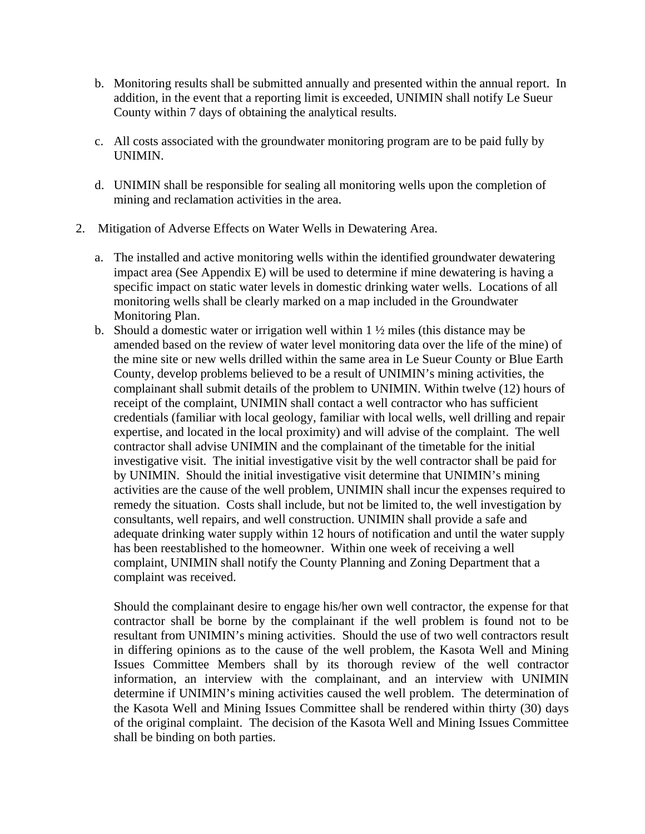- b. Monitoring results shall be submitted annually and presented within the annual report. In addition, in the event that a reporting limit is exceeded, UNIMIN shall notify Le Sueur County within 7 days of obtaining the analytical results.
- c. All costs associated with the groundwater monitoring program are to be paid fully by UNIMIN.
- d. UNIMIN shall be responsible for sealing all monitoring wells upon the completion of mining and reclamation activities in the area.
- 2. Mitigation of Adverse Effects on Water Wells in Dewatering Area.
	- a. The installed and active monitoring wells within the identified groundwater dewatering impact area (See Appendix E) will be used to determine if mine dewatering is having a specific impact on static water levels in domestic drinking water wells. Locations of all monitoring wells shall be clearly marked on a map included in the Groundwater Monitoring Plan.
	- b. Should a domestic water or irrigation well within  $1 \frac{1}{2}$  miles (this distance may be amended based on the review of water level monitoring data over the life of the mine) of the mine site or new wells drilled within the same area in Le Sueur County or Blue Earth County, develop problems believed to be a result of UNIMIN's mining activities, the complainant shall submit details of the problem to UNIMIN. Within twelve (12) hours of receipt of the complaint, UNIMIN shall contact a well contractor who has sufficient credentials (familiar with local geology, familiar with local wells, well drilling and repair expertise, and located in the local proximity) and will advise of the complaint. The well contractor shall advise UNIMIN and the complainant of the timetable for the initial investigative visit. The initial investigative visit by the well contractor shall be paid for by UNIMIN. Should the initial investigative visit determine that UNIMIN's mining activities are the cause of the well problem, UNIMIN shall incur the expenses required to remedy the situation. Costs shall include, but not be limited to, the well investigation by consultants, well repairs, and well construction. UNIMIN shall provide a safe and adequate drinking water supply within 12 hours of notification and until the water supply has been reestablished to the homeowner. Within one week of receiving a well complaint, UNIMIN shall notify the County Planning and Zoning Department that a complaint was received.

Should the complainant desire to engage his/her own well contractor, the expense for that contractor shall be borne by the complainant if the well problem is found not to be resultant from UNIMIN's mining activities. Should the use of two well contractors result in differing opinions as to the cause of the well problem, the Kasota Well and Mining Issues Committee Members shall by its thorough review of the well contractor information, an interview with the complainant, and an interview with UNIMIN determine if UNIMIN's mining activities caused the well problem. The determination of the Kasota Well and Mining Issues Committee shall be rendered within thirty (30) days of the original complaint. The decision of the Kasota Well and Mining Issues Committee shall be binding on both parties.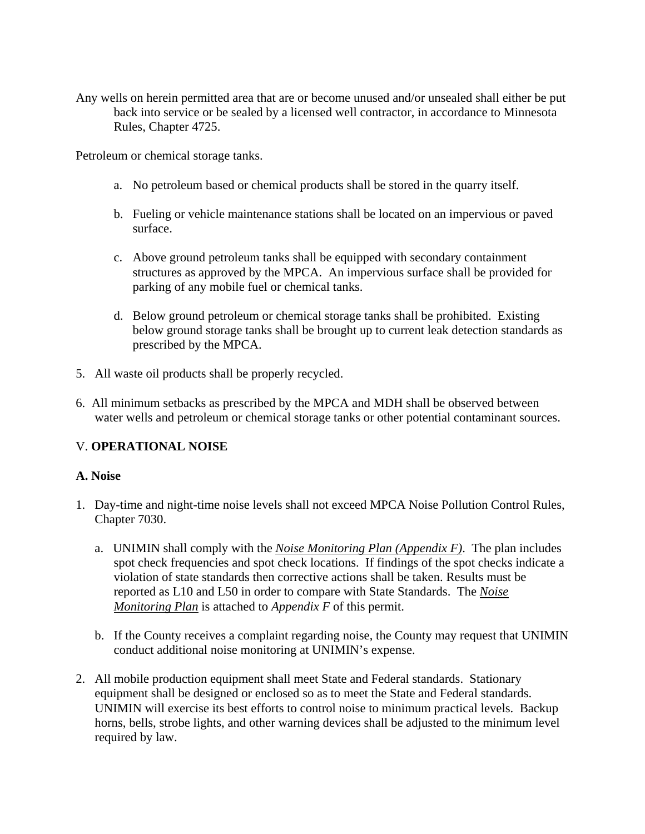Any wells on herein permitted area that are or become unused and/or unsealed shall either be put back into service or be sealed by a licensed well contractor, in accordance to Minnesota Rules, Chapter 4725.

Petroleum or chemical storage tanks.

- a. No petroleum based or chemical products shall be stored in the quarry itself.
- b. Fueling or vehicle maintenance stations shall be located on an impervious or paved surface.
- c. Above ground petroleum tanks shall be equipped with secondary containment structures as approved by the MPCA. An impervious surface shall be provided for parking of any mobile fuel or chemical tanks.
- d. Below ground petroleum or chemical storage tanks shall be prohibited. Existing below ground storage tanks shall be brought up to current leak detection standards as prescribed by the MPCA.
- 5. All waste oil products shall be properly recycled.
- 6. All minimum setbacks as prescribed by the MPCA and MDH shall be observed between water wells and petroleum or chemical storage tanks or other potential contaminant sources.

#### V. **OPERATIONAL NOISE**

#### **A. Noise**

- 1. Day-time and night-time noise levels shall not exceed MPCA Noise Pollution Control Rules, Chapter 7030.
	- a. UNIMIN shall comply with the *Noise Monitoring Plan (Appendix F)*. The plan includes spot check frequencies and spot check locations. If findings of the spot checks indicate a violation of state standards then corrective actions shall be taken. Results must be reported as L10 and L50 in order to compare with State Standards. The *Noise Monitoring Plan* is attached to *Appendix F* of this permit.
	- b. If the County receives a complaint regarding noise, the County may request that UNIMIN conduct additional noise monitoring at UNIMIN's expense.
- 2. All mobile production equipment shall meet State and Federal standards. Stationary equipment shall be designed or enclosed so as to meet the State and Federal standards. UNIMIN will exercise its best efforts to control noise to minimum practical levels. Backup horns, bells, strobe lights, and other warning devices shall be adjusted to the minimum level required by law.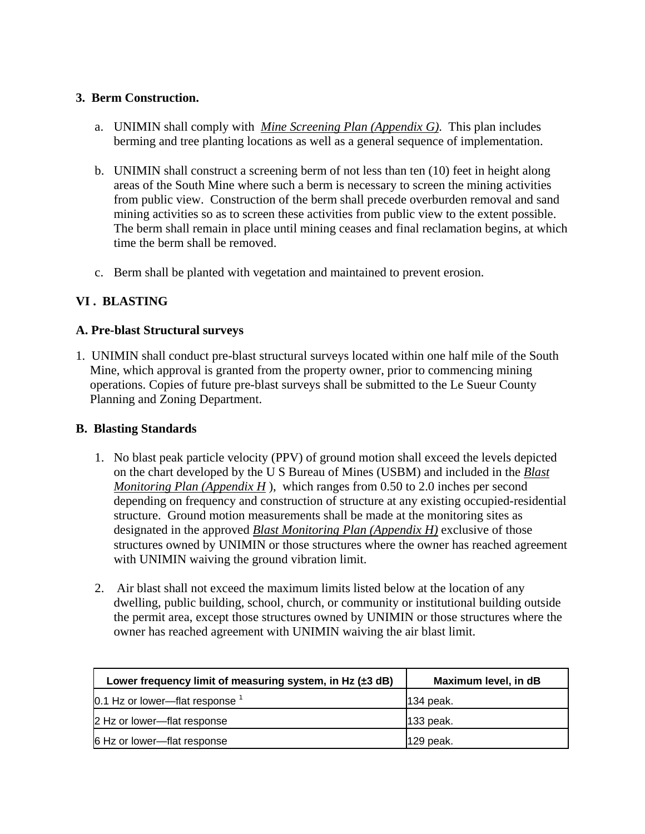#### **3. Berm Construction.**

- a. UNIMIN shall comply with *Mine Screening Plan (Appendix G)*. This plan includes berming and tree planting locations as well as a general sequence of implementation.
- b. UNIMIN shall construct a screening berm of not less than ten (10) feet in height along areas of the South Mine where such a berm is necessary to screen the mining activities from public view. Construction of the berm shall precede overburden removal and sand mining activities so as to screen these activities from public view to the extent possible. The berm shall remain in place until mining ceases and final reclamation begins, at which time the berm shall be removed.
- c. Berm shall be planted with vegetation and maintained to prevent erosion.

## **VI . BLASTING**

#### **A. Pre-blast Structural surveys**

1. UNIMIN shall conduct pre-blast structural surveys located within one half mile of the South Mine, which approval is granted from the property owner, prior to commencing mining operations. Copies of future pre-blast surveys shall be submitted to the Le Sueur County Planning and Zoning Department.

#### **B. Blasting Standards**

- 1. No blast peak particle velocity (PPV) of ground motion shall exceed the levels depicted on the chart developed by the U S Bureau of Mines (USBM) and included in the *Blast Monitoring Plan (Appendix H* ), which ranges from 0.50 to 2.0 inches per second depending on frequency and construction of structure at any existing occupied-residential structure. Ground motion measurements shall be made at the monitoring sites as designated in the approved *Blast Monitoring Plan (Appendix H)* exclusive of those structures owned by UNIMIN or those structures where the owner has reached agreement with UNIMIN waiving the ground vibration limit.
- 2. Air blast shall not exceed the maximum limits listed below at the location of any dwelling, public building, school, church, or community or institutional building outside the permit area, except those structures owned by UNIMIN or those structures where the owner has reached agreement with UNIMIN waiving the air blast limit.

| Lower frequency limit of measuring system, in Hz $(\pm 3$ dB) | Maximum level, in dB |
|---------------------------------------------------------------|----------------------|
| $0.1$ Hz or lower—flat response $^1$                          | 134 peak.            |
| 2 Hz or lower-flat response                                   | 133 peak.            |
| 6 Hz or lower-flat response                                   | 129 peak.            |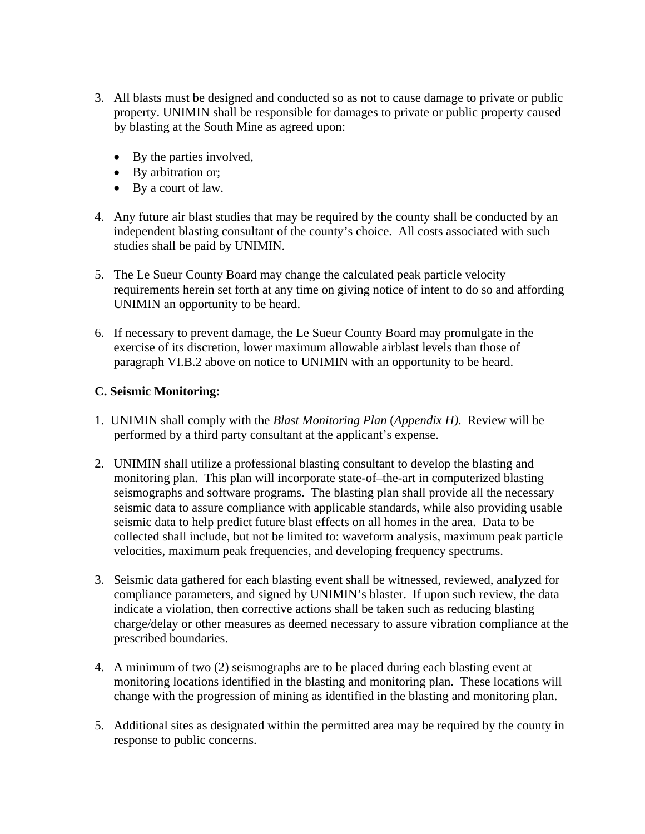- 3. All blasts must be designed and conducted so as not to cause damage to private or public property. UNIMIN shall be responsible for damages to private or public property caused by blasting at the South Mine as agreed upon:
	- By the parties involved,
	- By arbitration or;
	- By a court of law.
- 4. Any future air blast studies that may be required by the county shall be conducted by an independent blasting consultant of the county's choice. All costs associated with such studies shall be paid by UNIMIN.
- 5. The Le Sueur County Board may change the calculated peak particle velocity requirements herein set forth at any time on giving notice of intent to do so and affording UNIMIN an opportunity to be heard.
- 6. If necessary to prevent damage, the Le Sueur County Board may promulgate in the exercise of its discretion, lower maximum allowable airblast levels than those of paragraph VI.B.2 above on notice to UNIMIN with an opportunity to be heard.

#### **C. Seismic Monitoring:**

- 1. UNIMIN shall comply with the *Blast Monitoring Plan* (*Appendix H)*. Review will be performed by a third party consultant at the applicant's expense.
- 2. UNIMIN shall utilize a professional blasting consultant to develop the blasting and monitoring plan. This plan will incorporate state-of–the-art in computerized blasting seismographs and software programs. The blasting plan shall provide all the necessary seismic data to assure compliance with applicable standards, while also providing usable seismic data to help predict future blast effects on all homes in the area. Data to be collected shall include, but not be limited to: waveform analysis, maximum peak particle velocities, maximum peak frequencies, and developing frequency spectrums.
- 3. Seismic data gathered for each blasting event shall be witnessed, reviewed, analyzed for compliance parameters, and signed by UNIMIN's blaster. If upon such review, the data indicate a violation, then corrective actions shall be taken such as reducing blasting charge/delay or other measures as deemed necessary to assure vibration compliance at the prescribed boundaries.
- 4. A minimum of two (2) seismographs are to be placed during each blasting event at monitoring locations identified in the blasting and monitoring plan. These locations will change with the progression of mining as identified in the blasting and monitoring plan.
- 5. Additional sites as designated within the permitted area may be required by the county in response to public concerns.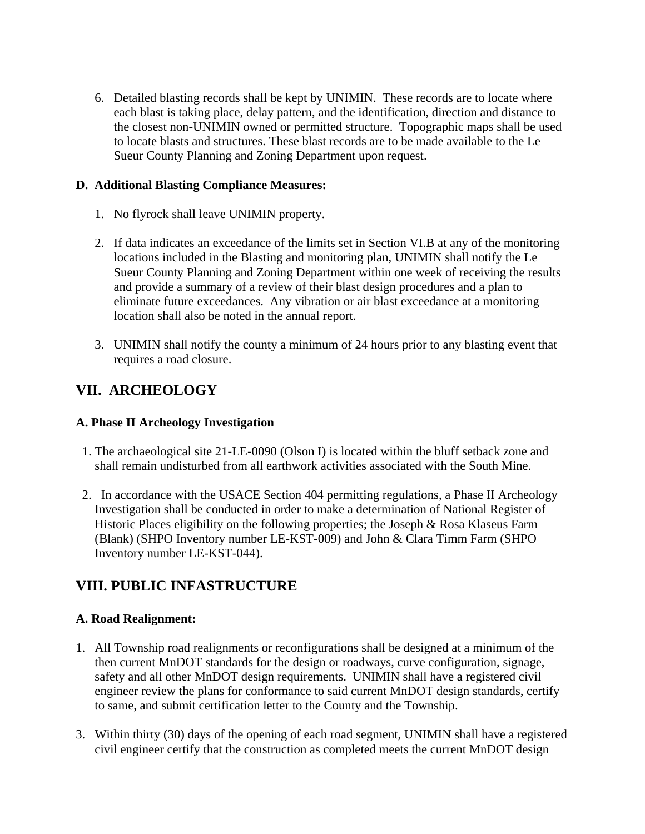6. Detailed blasting records shall be kept by UNIMIN. These records are to locate where each blast is taking place, delay pattern, and the identification, direction and distance to the closest non-UNIMIN owned or permitted structure. Topographic maps shall be used to locate blasts and structures. These blast records are to be made available to the Le Sueur County Planning and Zoning Department upon request.

### **D. Additional Blasting Compliance Measures:**

- 1. No flyrock shall leave UNIMIN property.
- 2. If data indicates an exceedance of the limits set in Section VI.B at any of the monitoring locations included in the Blasting and monitoring plan, UNIMIN shall notify the Le Sueur County Planning and Zoning Department within one week of receiving the results and provide a summary of a review of their blast design procedures and a plan to eliminate future exceedances. Any vibration or air blast exceedance at a monitoring location shall also be noted in the annual report.
- 3. UNIMIN shall notify the county a minimum of 24 hours prior to any blasting event that requires a road closure.

# **VII. ARCHEOLOGY**

### **A. Phase II Archeology Investigation**

- 1. The archaeological site 21-LE-0090 (Olson I) is located within the bluff setback zone and shall remain undisturbed from all earthwork activities associated with the South Mine.
- 2. In accordance with the USACE Section 404 permitting regulations, a Phase II Archeology Investigation shall be conducted in order to make a determination of National Register of Historic Places eligibility on the following properties; the Joseph & Rosa Klaseus Farm (Blank) (SHPO Inventory number LE-KST-009) and John & Clara Timm Farm (SHPO Inventory number LE-KST-044).

# **VIII. PUBLIC INFASTRUCTURE**

#### **A. Road Realignment:**

- 1. All Township road realignments or reconfigurations shall be designed at a minimum of the then current MnDOT standards for the design or roadways, curve configuration, signage, safety and all other MnDOT design requirements. UNIMIN shall have a registered civil engineer review the plans for conformance to said current MnDOT design standards, certify to same, and submit certification letter to the County and the Township.
- 3. Within thirty (30) days of the opening of each road segment, UNIMIN shall have a registered civil engineer certify that the construction as completed meets the current MnDOT design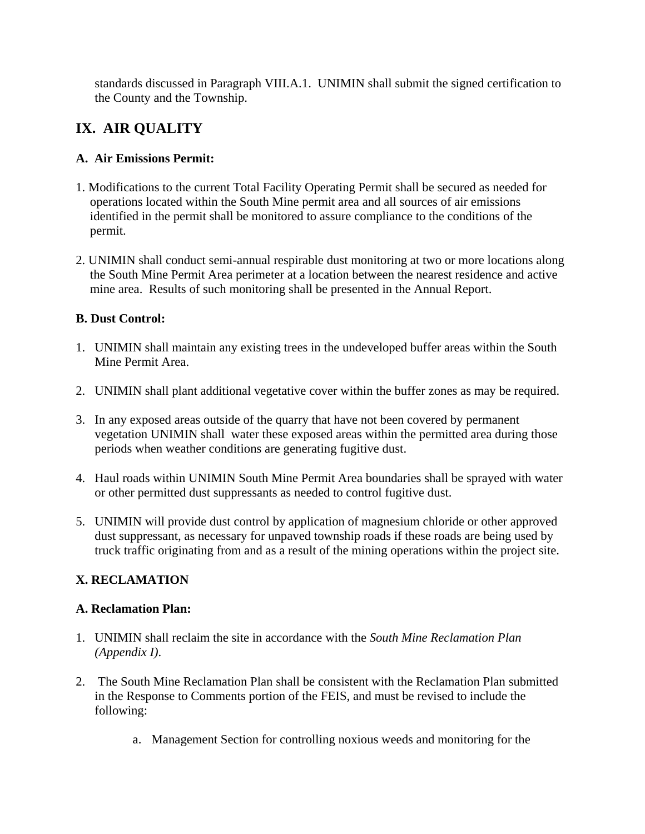standards discussed in Paragraph VIII.A.1. UNIMIN shall submit the signed certification to the County and the Township.

# **IX. AIR QUALITY**

## **A. Air Emissions Permit:**

- 1. Modifications to the current Total Facility Operating Permit shall be secured as needed for operations located within the South Mine permit area and all sources of air emissions identified in the permit shall be monitored to assure compliance to the conditions of the permit.
- 2. UNIMIN shall conduct semi-annual respirable dust monitoring at two or more locations along the South Mine Permit Area perimeter at a location between the nearest residence and active mine area. Results of such monitoring shall be presented in the Annual Report.

## **B. Dust Control:**

- 1. UNIMIN shall maintain any existing trees in the undeveloped buffer areas within the South Mine Permit Area.
- 2. UNIMIN shall plant additional vegetative cover within the buffer zones as may be required.
- 3. In any exposed areas outside of the quarry that have not been covered by permanent vegetation UNIMIN shall water these exposed areas within the permitted area during those periods when weather conditions are generating fugitive dust.
- 4. Haul roads within UNIMIN South Mine Permit Area boundaries shall be sprayed with water or other permitted dust suppressants as needed to control fugitive dust.
- 5. UNIMIN will provide dust control by application of magnesium chloride or other approved dust suppressant, as necessary for unpaved township roads if these roads are being used by truck traffic originating from and as a result of the mining operations within the project site.

## **X. RECLAMATION**

#### **A. Reclamation Plan:**

- 1. UNIMIN shall reclaim the site in accordance with the *South Mine Reclamation Plan (Appendix I)*.
- 2. The South Mine Reclamation Plan shall be consistent with the Reclamation Plan submitted in the Response to Comments portion of the FEIS, and must be revised to include the following:
	- a. Management Section for controlling noxious weeds and monitoring for the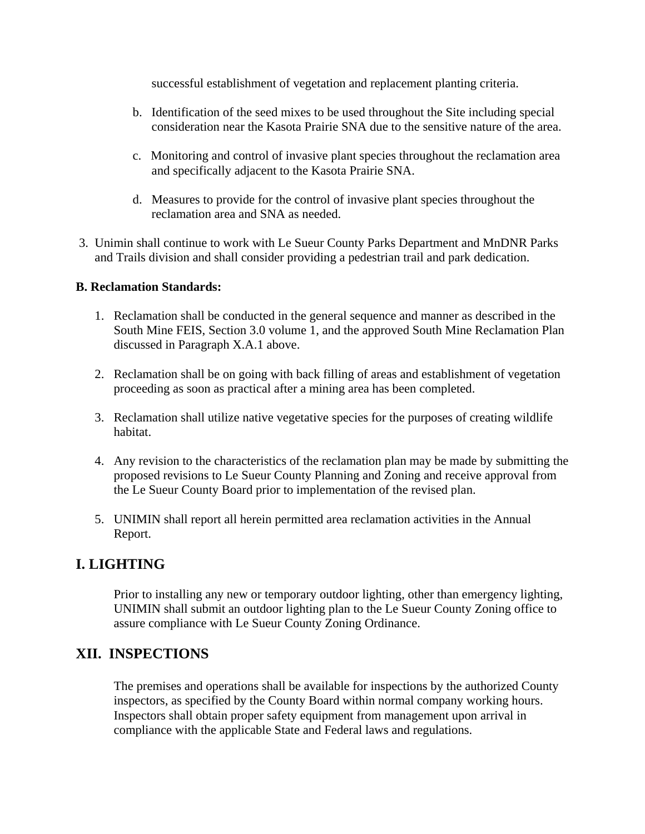successful establishment of vegetation and replacement planting criteria.

- b. Identification of the seed mixes to be used throughout the Site including special consideration near the Kasota Prairie SNA due to the sensitive nature of the area.
- c. Monitoring and control of invasive plant species throughout the reclamation area and specifically adjacent to the Kasota Prairie SNA.
- d. Measures to provide for the control of invasive plant species throughout the reclamation area and SNA as needed.
- 3. Unimin shall continue to work with Le Sueur County Parks Department and MnDNR Parks and Trails division and shall consider providing a pedestrian trail and park dedication.

#### **B. Reclamation Standards:**

- 1. Reclamation shall be conducted in the general sequence and manner as described in the South Mine FEIS, Section 3.0 volume 1, and the approved South Mine Reclamation Plan discussed in Paragraph X.A.1 above.
- 2. Reclamation shall be on going with back filling of areas and establishment of vegetation proceeding as soon as practical after a mining area has been completed.
- 3. Reclamation shall utilize native vegetative species for the purposes of creating wildlife habitat.
- 4. Any revision to the characteristics of the reclamation plan may be made by submitting the proposed revisions to Le Sueur County Planning and Zoning and receive approval from the Le Sueur County Board prior to implementation of the revised plan.
- 5. UNIMIN shall report all herein permitted area reclamation activities in the Annual Report.

## **I. LIGHTING**

Prior to installing any new or temporary outdoor lighting, other than emergency lighting, UNIMIN shall submit an outdoor lighting plan to the Le Sueur County Zoning office to assure compliance with Le Sueur County Zoning Ordinance.

## **XII. INSPECTIONS**

The premises and operations shall be available for inspections by the authorized County inspectors, as specified by the County Board within normal company working hours. Inspectors shall obtain proper safety equipment from management upon arrival in compliance with the applicable State and Federal laws and regulations.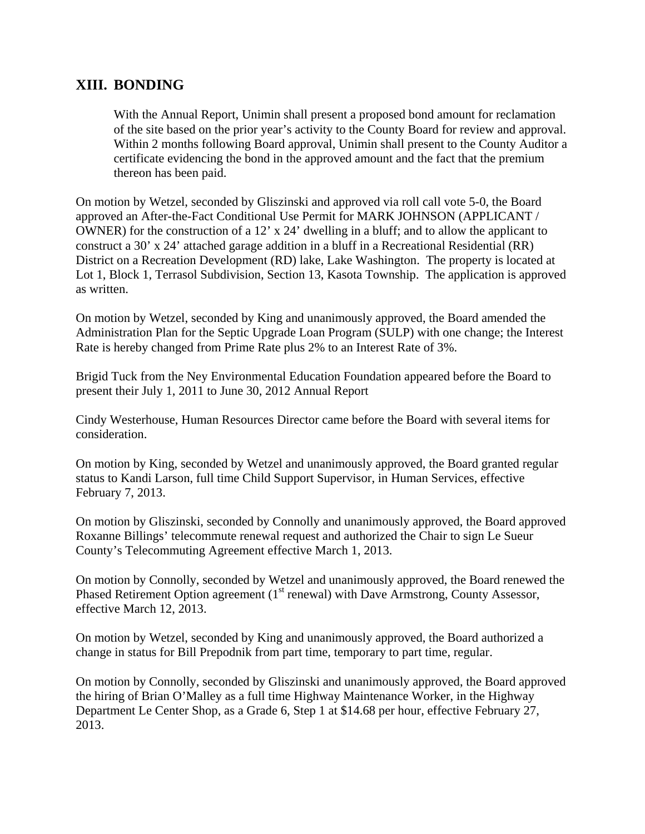## **XIII. BONDING**

With the Annual Report, Unimin shall present a proposed bond amount for reclamation of the site based on the prior year's activity to the County Board for review and approval. Within 2 months following Board approval, Unimin shall present to the County Auditor a certificate evidencing the bond in the approved amount and the fact that the premium thereon has been paid.

On motion by Wetzel, seconded by Gliszinski and approved via roll call vote 5-0, the Board approved an After-the-Fact Conditional Use Permit for MARK JOHNSON (APPLICANT / OWNER) for the construction of a 12' x 24' dwelling in a bluff; and to allow the applicant to construct a 30' x 24' attached garage addition in a bluff in a Recreational Residential (RR) District on a Recreation Development (RD) lake, Lake Washington. The property is located at Lot 1, Block 1, Terrasol Subdivision, Section 13, Kasota Township. The application is approved as written.

On motion by Wetzel, seconded by King and unanimously approved, the Board amended the Administration Plan for the Septic Upgrade Loan Program (SULP) with one change; the Interest Rate is hereby changed from Prime Rate plus 2% to an Interest Rate of 3%.

Brigid Tuck from the Ney Environmental Education Foundation appeared before the Board to present their July 1, 2011 to June 30, 2012 Annual Report

Cindy Westerhouse, Human Resources Director came before the Board with several items for consideration.

On motion by King, seconded by Wetzel and unanimously approved, the Board granted regular status to Kandi Larson, full time Child Support Supervisor, in Human Services, effective February 7, 2013.

On motion by Gliszinski, seconded by Connolly and unanimously approved, the Board approved Roxanne Billings' telecommute renewal request and authorized the Chair to sign Le Sueur County's Telecommuting Agreement effective March 1, 2013.

On motion by Connolly, seconded by Wetzel and unanimously approved, the Board renewed the Phased Retirement Option agreement  $(1<sup>st</sup>$  renewal) with Dave Armstrong, County Assessor, effective March 12, 2013.

On motion by Wetzel, seconded by King and unanimously approved, the Board authorized a change in status for Bill Prepodnik from part time, temporary to part time, regular.

On motion by Connolly, seconded by Gliszinski and unanimously approved, the Board approved the hiring of Brian O'Malley as a full time Highway Maintenance Worker, in the Highway Department Le Center Shop, as a Grade 6, Step 1 at \$14.68 per hour, effective February 27, 2013.